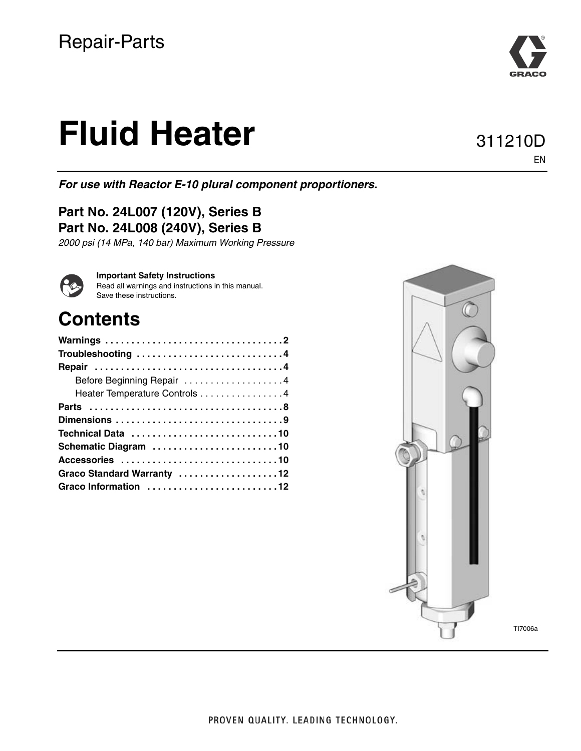

EN

311210D

# **Fluid Heater**

*For use with Reactor E-10 plural component proportioners.*

#### **Part No. 24L007 (120V), Series B Part No. 24L008 (240V), Series B**

*2000 psi (14 MPa, 140 bar) Maximum Working Pressure*



**Important Safety Instructions** Read all warnings and instructions in this manual. Save these instructions.

#### **Contents**

| Troubleshooting 4             |
|-------------------------------|
|                               |
| Before Beginning Repair 4     |
| Heater Temperature Controls 4 |
|                               |
|                               |
|                               |
| Schematic Diagram 10          |
| Accessories 10                |
| Graco Standard Warranty 12    |
| Graco Information 12          |

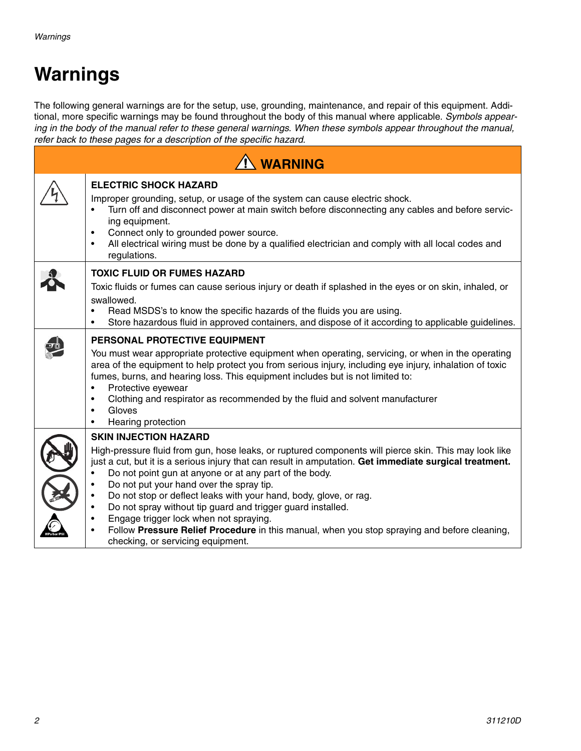## <span id="page-1-0"></span>**Warnings**

The following general warnings are for the setup, use, grounding, maintenance, and repair of this equipment. Additional, more specific warnings may be found throughout the body of this manual where applicable. *Symbols appearing in the body of the manual refer to these general warnings. When these symbols appear throughout the manual, refer back to these pages for a description of the specific hazard.*

| <b>WARNING</b> |                                                                                                                                                                                                                                                                                                                                                                                                                                                                                                                                                                                                                                                                                                                                                                                                                                                                 |  |  |  |
|----------------|-----------------------------------------------------------------------------------------------------------------------------------------------------------------------------------------------------------------------------------------------------------------------------------------------------------------------------------------------------------------------------------------------------------------------------------------------------------------------------------------------------------------------------------------------------------------------------------------------------------------------------------------------------------------------------------------------------------------------------------------------------------------------------------------------------------------------------------------------------------------|--|--|--|
|                | <b>ELECTRIC SHOCK HAZARD</b><br>Improper grounding, setup, or usage of the system can cause electric shock.<br>Turn off and disconnect power at main switch before disconnecting any cables and before servic-<br>$\bullet$<br>ing equipment.<br>Connect only to grounded power source.<br>٠<br>All electrical wiring must be done by a qualified electrician and comply with all local codes and<br>٠<br>regulations.                                                                                                                                                                                                                                                                                                                                                                                                                                          |  |  |  |
|                | <b>TOXIC FLUID OR FUMES HAZARD</b><br>Toxic fluids or fumes can cause serious injury or death if splashed in the eyes or on skin, inhaled, or<br>swallowed.<br>Read MSDS's to know the specific hazards of the fluids you are using.<br>٠<br>Store hazardous fluid in approved containers, and dispose of it according to applicable guidelines.<br>$\bullet$<br>PERSONAL PROTECTIVE EQUIPMENT<br>You must wear appropriate protective equipment when operating, servicing, or when in the operating<br>area of the equipment to help protect you from serious injury, including eye injury, inhalation of toxic<br>fumes, burns, and hearing loss. This equipment includes but is not limited to:<br>Protective eyewear<br>$\bullet$<br>Clothing and respirator as recommended by the fluid and solvent manufacturer<br>٠<br>Gloves<br>٠<br>Hearing protection |  |  |  |
|                | <b>SKIN INJECTION HAZARD</b><br>High-pressure fluid from gun, hose leaks, or ruptured components will pierce skin. This may look like<br>just a cut, but it is a serious injury that can result in amputation. Get immediate surgical treatment.<br>Do not point gun at anyone or at any part of the body.<br>Do not put your hand over the spray tip.<br>Do not stop or deflect leaks with your hand, body, glove, or rag.<br>٠<br>Do not spray without tip guard and trigger guard installed.<br>$\bullet$<br>Engage trigger lock when not spraying.<br>Follow Pressure Relief Procedure in this manual, when you stop spraying and before cleaning,<br>checking, or servicing equipment.                                                                                                                                                                     |  |  |  |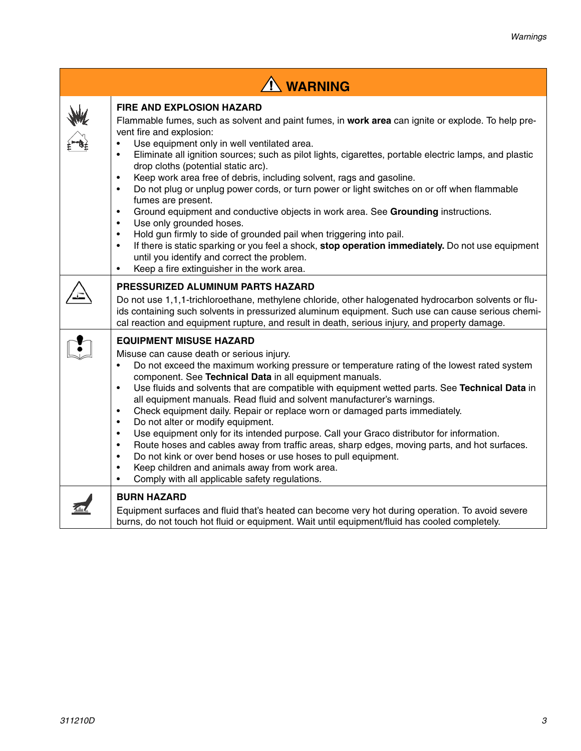| <b>1 WARNING</b> |                                                                                                                                                                                                                                                                                                                                                                                                                                                                                                                                                                                                                                                                                                                                                                                                                                                                                                                                                                                                                                                                                |  |  |  |  |  |
|------------------|--------------------------------------------------------------------------------------------------------------------------------------------------------------------------------------------------------------------------------------------------------------------------------------------------------------------------------------------------------------------------------------------------------------------------------------------------------------------------------------------------------------------------------------------------------------------------------------------------------------------------------------------------------------------------------------------------------------------------------------------------------------------------------------------------------------------------------------------------------------------------------------------------------------------------------------------------------------------------------------------------------------------------------------------------------------------------------|--|--|--|--|--|
|                  | <b>FIRE AND EXPLOSION HAZARD</b><br>Flammable fumes, such as solvent and paint fumes, in work area can ignite or explode. To help pre-<br>vent fire and explosion:<br>Use equipment only in well ventilated area.<br>$\bullet$<br>Eliminate all ignition sources; such as pilot lights, cigarettes, portable electric lamps, and plastic<br>$\bullet$<br>drop cloths (potential static arc).<br>Keep work area free of debris, including solvent, rags and gasoline.<br>$\bullet$<br>Do not plug or unplug power cords, or turn power or light switches on or off when flammable<br>$\bullet$<br>fumes are present.<br>Ground equipment and conductive objects in work area. See Grounding instructions.<br>$\bullet$<br>Use only grounded hoses.<br>$\bullet$<br>Hold gun firmly to side of grounded pail when triggering into pail.<br>$\bullet$<br>If there is static sparking or you feel a shock, stop operation immediately. Do not use equipment<br>$\bullet$<br>until you identify and correct the problem.<br>Keep a fire extinguisher in the work area.<br>$\bullet$ |  |  |  |  |  |
|                  | PRESSURIZED ALUMINUM PARTS HAZARD<br>Do not use 1,1,1-trichloroethane, methylene chloride, other halogenated hydrocarbon solvents or flu-<br>ids containing such solvents in pressurized aluminum equipment. Such use can cause serious chemi-<br>cal reaction and equipment rupture, and result in death, serious injury, and property damage.                                                                                                                                                                                                                                                                                                                                                                                                                                                                                                                                                                                                                                                                                                                                |  |  |  |  |  |
|                  | <b>EQUIPMENT MISUSE HAZARD</b><br>Misuse can cause death or serious injury.<br>Do not exceed the maximum working pressure or temperature rating of the lowest rated system<br>$\bullet$<br>component. See Technical Data in all equipment manuals.<br>Use fluids and solvents that are compatible with equipment wetted parts. See Technical Data in<br>$\bullet$<br>all equipment manuals. Read fluid and solvent manufacturer's warnings.<br>Check equipment daily. Repair or replace worn or damaged parts immediately.<br>$\bullet$<br>Do not alter or modify equipment.<br>$\bullet$<br>Use equipment only for its intended purpose. Call your Graco distributor for information.<br>$\bullet$<br>Route hoses and cables away from traffic areas, sharp edges, moving parts, and hot surfaces.<br>$\bullet$<br>Do not kink or over bend hoses or use hoses to pull equipment.<br>$\bullet$<br>Keep children and animals away from work area.<br>$\bullet$<br>Comply with all applicable safety regulations.<br>$\bullet$                                                  |  |  |  |  |  |
|                  | <b>BURN HAZARD</b><br>Equipment surfaces and fluid that's heated can become very hot during operation. To avoid severe<br>burns, do not touch hot fluid or equipment. Wait until equipment/fluid has cooled completely.                                                                                                                                                                                                                                                                                                                                                                                                                                                                                                                                                                                                                                                                                                                                                                                                                                                        |  |  |  |  |  |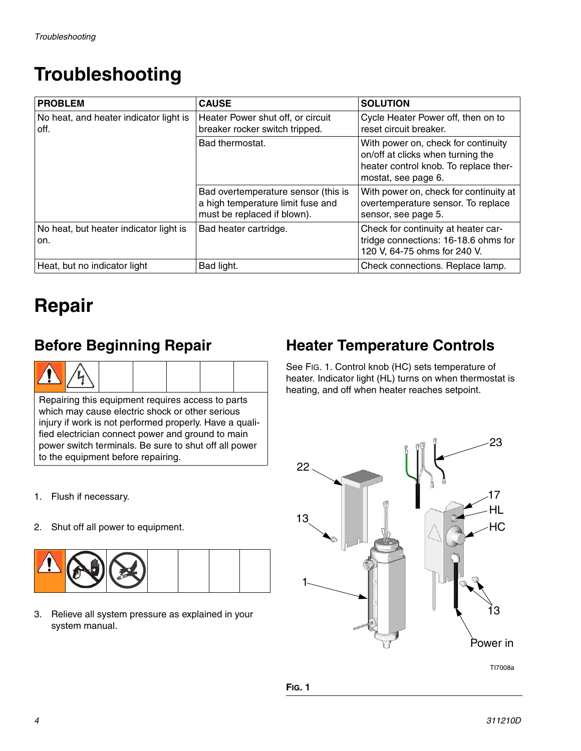### <span id="page-3-0"></span>**Troubleshooting**

| <b>PROBLEM</b>                                 | <b>CAUSE</b>                                                                                            | <b>SOLUTION</b>                                                                                                                          |
|------------------------------------------------|---------------------------------------------------------------------------------------------------------|------------------------------------------------------------------------------------------------------------------------------------------|
| No heat, and heater indicator light is<br>off. | Heater Power shut off, or circuit<br>breaker rocker switch tripped.                                     | Cycle Heater Power off, then on to<br>reset circuit breaker.                                                                             |
|                                                | Bad thermostat.                                                                                         | With power on, check for continuity<br>on/off at clicks when turning the<br>heater control knob. To replace ther-<br>mostat, see page 6. |
|                                                | Bad overtemperature sensor (this is<br>a high temperature limit fuse and<br>must be replaced if blown). | With power on, check for continuity at<br>overtemperature sensor. To replace<br>sensor, see page 5.                                      |
| No heat, but heater indicator light is<br>on.  | Bad heater cartridge.                                                                                   | Check for continuity at heater car-<br>tridge connections: 16-18.6 ohms for<br>120 V, 64-75 ohms for 240 V.                              |
| Heat, but no indicator light                   | Bad light.                                                                                              | Check connections. Replace lamp.                                                                                                         |

### <span id="page-3-1"></span>**Repair**



Repairing this equipment requires access to parts which may cause electric shock or other serious injury if work is not performed properly. Have a qualified electrician connect power and ground to main power switch terminals. Be sure to shut off all power to the equipment before repairing.

- 1. Flush if necessary.
- 2. Shut off all power to equipment.



3. Relieve all system pressure as explained in your system manual.

#### <span id="page-3-2"></span>**Before Beginning Repair Figure 2016 Heater Temperature Controls**

<span id="page-3-3"></span>See [FIG. 1.](#page-3-4) Control knob (HC) sets temperature of heater. Indicator light (HL) turns on when thermostat is heating, and off when heater reaches setpoint.



<span id="page-3-4"></span>TI7008a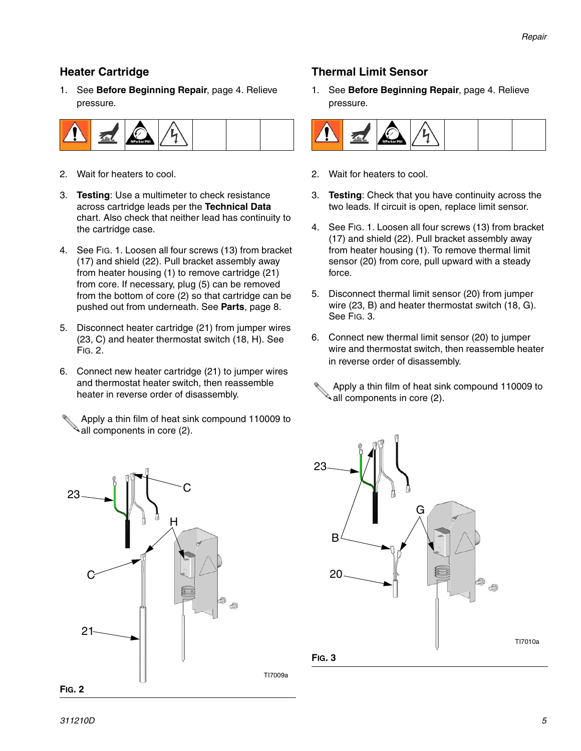#### **Heater Cartridge**

1. See **Before Beginning Repair**, page [4](#page-3-3). Relieve pressure.



- 2. Wait for heaters to cool.
- 3. **Testing**: Use a multimeter to check resistance across cartridge leads per the **Technical Data** chart. Also check that neither lead has continuity to the cartridge case.
- 4. See [FIG. 1.](#page-3-4) Loosen all four screws (13) from bracket (17) and shield (22). Pull bracket assembly away from heater housing (1) to remove cartridge (21) from core. If necessary, plug (5) can be removed from the bottom of core (2) so that cartridge can be pushed out from underneath. See **Parts**, page [8.](#page-7-0)
- 5. Disconnect heater cartridge (21) from jumper wires (23, C) and heater thermostat switch (18, H). See FIG. 2.
- 6. Connect new heater cartridge (21) to jumper wires and thermostat heater switch, then reassemble heater in reverse order of disassembly.
- Apply a thin film of heat sink compound 110009 to  $^{\mathbb{R}}$  all components in core (2).



1. See **Before Beginning Repair**, page [4.](#page-3-3) Relieve pressure.



- 2. Wait for heaters to cool.
- 3. **Testing**: Check that you have continuity across the two leads. If circuit is open, replace limit sensor.
- 4. See [FIG. 1](#page-3-4). Loosen all four screws (13) from bracket (17) and shield (22). Pull bracket assembly away from heater housing (1). To remove thermal limit sensor (20) from core, pull upward with a steady force.
- 5. Disconnect thermal limit sensor (20) from jumper wire (23, B) and heater thermostat switch (18, G). See [FIG. 3.](#page-4-0)
- 6. Connect new thermal limit sensor (20) to jumper wire and thermostat switch, then reassemble heater in reverse order of disassembly.
- Apply a thin film of heat sink compound 110009 to  $^{\&}$  all components in core (2).





<span id="page-4-0"></span>TI7009a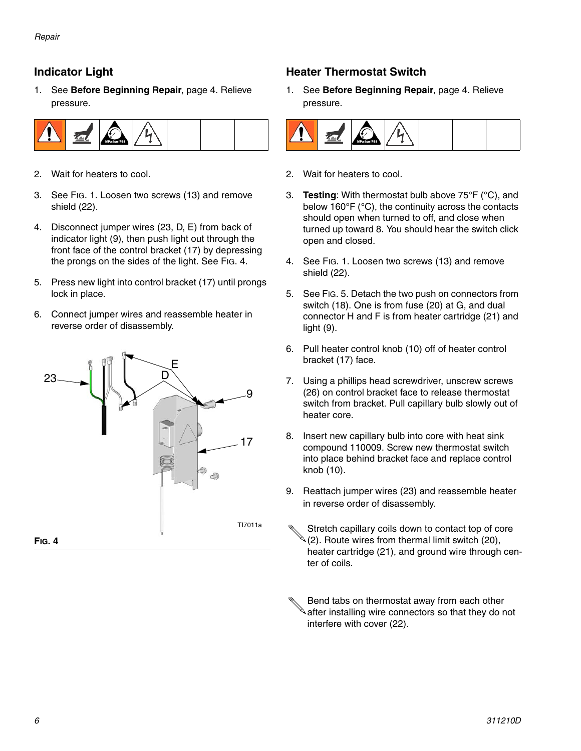#### **Indicator Light**

1. See **Before Beginning Repair**, page [4](#page-3-3). Relieve pressure.



- 2. Wait for heaters to cool.
- 3. See [FIG. 1](#page-3-4). Loosen two screws (13) and remove shield (22).
- 4. Disconnect jumper wires (23, D, E) from back of indicator light (9), then push light out through the front face of the control bracket (17) by depressing the prongs on the sides of the light. See [FIG. 4.](#page-5-1)
- 5. Press new light into control bracket (17) until prongs lock in place.
- 6. Connect jumper wires and reassemble heater in reverse order of disassembly.

<span id="page-5-1"></span>

#### <span id="page-5-0"></span>**Heater Thermostat Switch**

1. See **Before Beginning Repair**, page [4.](#page-3-3) Relieve pressure.



- 2. Wait for heaters to cool.
- 3. **Testing**: With thermostat bulb above 75°F (°C), and below 160°F (°C), the continuity across the contacts should open when turned to off, and close when turned up toward 8. You should hear the switch click open and closed.
- 4. See [FIG. 1.](#page-3-4) Loosen two screws (13) and remove shield (22).
- 5. See FIG. 5. Detach the two push on connectors from switch (18). One is from fuse (20) at G, and dual connector H and F is from heater cartridge (21) and light (9).
- 6. Pull heater control knob (10) off of heater control bracket (17) face.
- 7. Using a phillips head screwdriver, unscrew screws (26) on control bracket face to release thermostat switch from bracket. Pull capillary bulb slowly out of heater core.
- 8. Insert new capillary bulb into core with heat sink compound 110009. Screw new thermostat switch into place behind bracket face and replace control knob (10).
- 9. Reattach jumper wires (23) and reassemble heater in reverse order of disassembly.
- TI7011a Stretch capillary coils down to contact top of core (2). Route wires from thermal limit switch (20), heater cartridge (21), and ground wire through center of coils.
	- Bend tabs on thermostat away from each other after installing wire connectors so that they do not interfere with cover (22).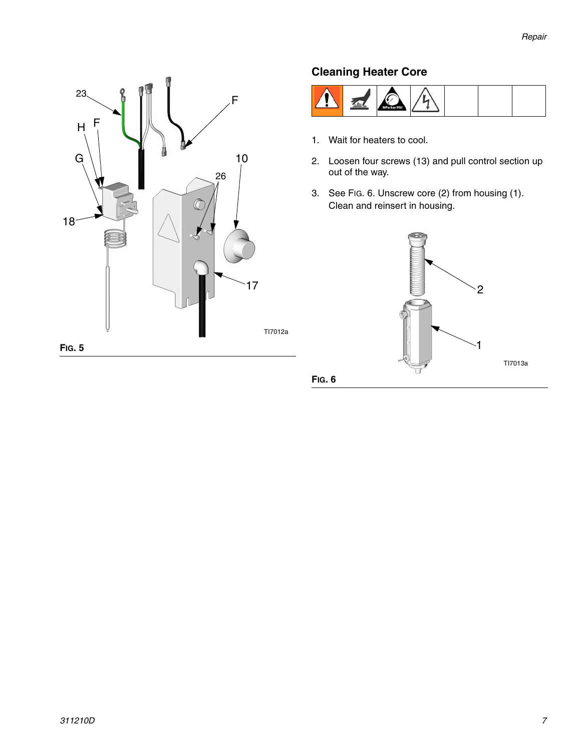

#### **Cleaning Heater Core**



1. Wait for heaters to cool.

**FIG. 6**

- 2. Loosen four screws (13) and pull control section up out of the way.
- 3. See FIG. 6. Unscrew core (2) from housing (1). Clean and reinsert in housing.

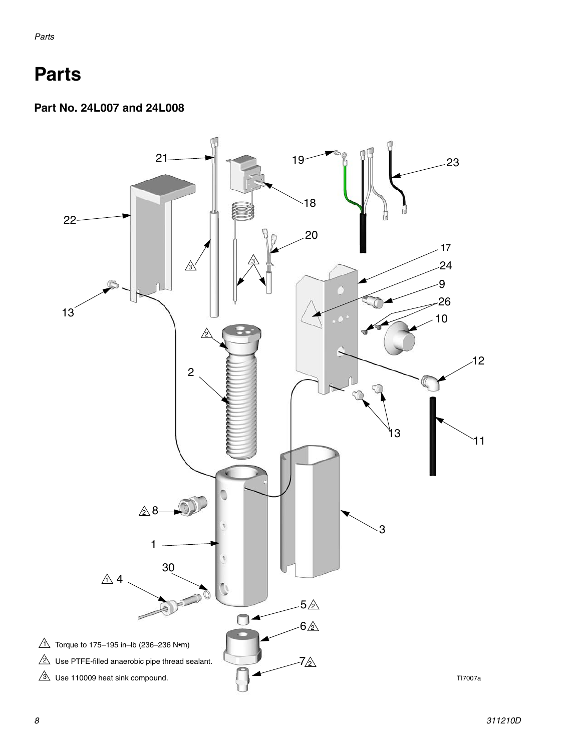### <span id="page-7-0"></span>**Parts**

#### **Part No. 24L007 and 24L008**



*311210D*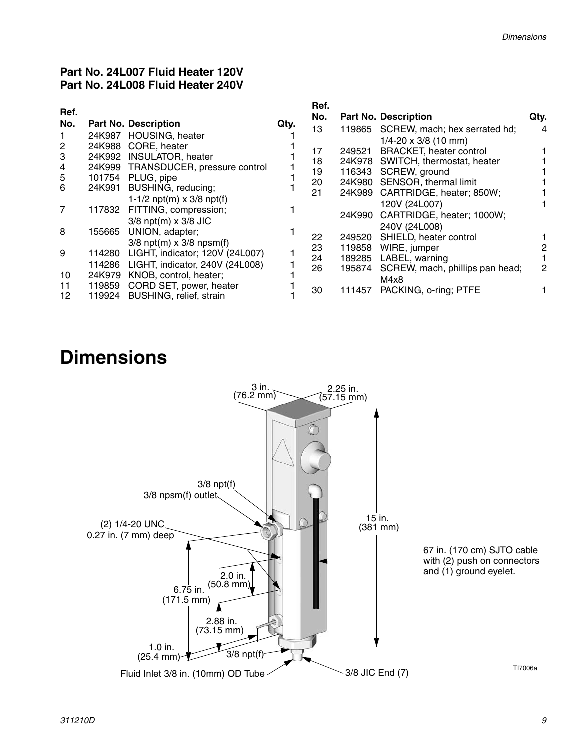#### **Part No. 24L007 Fluid Heater 120V Part No. 24L008 Fluid Heater 240V**

|                |        |                                        |      | Ref. |        |                                   |      |
|----------------|--------|----------------------------------------|------|------|--------|-----------------------------------|------|
| Ref.           |        |                                        |      | No.  |        | <b>Part No. Description</b>       | Qty. |
| No.            |        | <b>Part No. Description</b>            | Qty. | 13   | 119865 | SCREW, mach; hex serrated hd;     | 4    |
|                |        | 24K987 HOUSING, heater                 |      |      |        | $1/4 - 20 \times 3/8$ (10 mm)     |      |
| 2              | 24K988 | CORE, heater                           |      | 17   | 249521 | <b>BRACKET, heater control</b>    |      |
| 3              |        | 24K992 INSULATOR, heater               |      | 18   |        | 24K978 SWITCH, thermostat, heater |      |
| 4              |        | 24K999 TRANSDUCER, pressure control    |      | 19   |        | SCREW, ground                     |      |
| 5              | 101754 | PLUG, pipe                             |      |      | 116343 |                                   |      |
| 6              | 24K991 | BUSHING, reducing;                     |      | 20   |        | 24K980 SENSOR, thermal limit      |      |
|                |        | 1-1/2 npt(m) $x$ 3/8 npt(f)            |      | 21   |        | 24K989 CARTRIDGE, heater; 850W;   |      |
| $\overline{7}$ | 117832 | FITTING, compression;                  |      |      |        | 120V (24L007)                     |      |
|                |        |                                        |      |      | 24K990 | CARTRIDGE, heater; 1000W;         |      |
|                |        | $3/8$ npt(m) x $3/8$ JIC               |      |      |        | 240V (24L008)                     |      |
| 8              | 155665 | UNION, adapter;                        |      | 22   | 249520 | SHIELD, heater control            |      |
|                |        | $3/8$ npt(m) x $3/8$ npsm(f)           |      | 23   | 119858 | WIRE, jumper                      |      |
| 9              | 114280 | LIGHT, indicator; 120V (24L007)        |      | 24   |        | 189285 LABEL, warning             |      |
|                |        | 114286 LIGHT, indicator, 240V (24L008) |      | 26   | 195874 | SCREW, mach, phillips pan head;   | 2    |
| 10             | 24K979 | KNOB, control, heater;                 |      |      |        | M4x8                              |      |
| 11             | 119859 | CORD SET, power, heater                |      |      |        |                                   |      |
| 12             | 119924 | BUSHING, relief, strain                |      | 30   | 111457 | PACKING, o-ring; PTFE             |      |

### <span id="page-8-0"></span>**Dimensions**

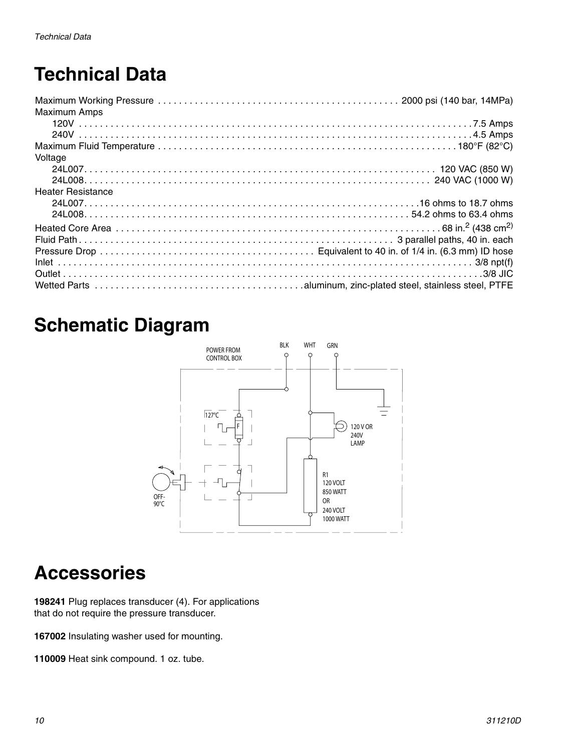### <span id="page-9-0"></span>**Technical Data**

| <b>Maximum Amps</b>      |  |
|--------------------------|--|
|                          |  |
|                          |  |
|                          |  |
| Voltage                  |  |
|                          |  |
|                          |  |
| <b>Heater Resistance</b> |  |
|                          |  |
|                          |  |
|                          |  |
|                          |  |
|                          |  |
|                          |  |
|                          |  |
|                          |  |

### <span id="page-9-1"></span>**Schematic Diagram**



### <span id="page-9-2"></span>**Accessories**

**198241** Plug replaces transducer (4). For applications that do not require the pressure transducer.

**167002** Insulating washer used for mounting.

**110009** Heat sink compound. 1 oz. tube.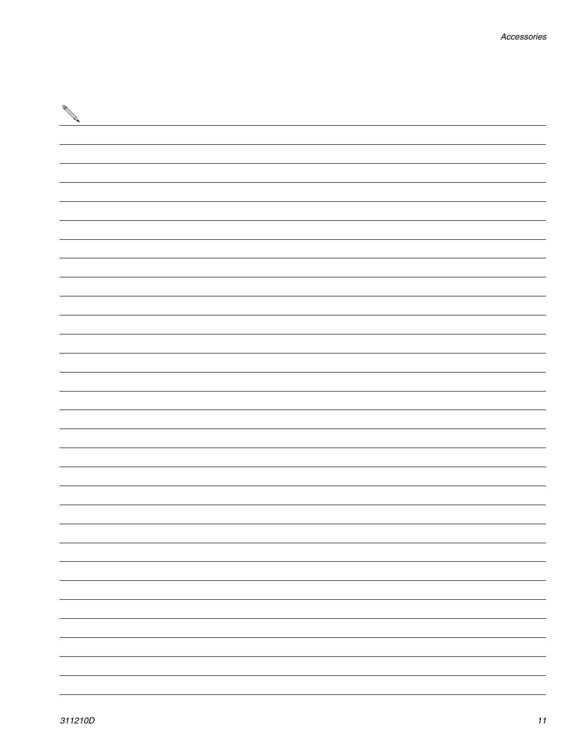| Ø. |  |
|----|--|
|    |  |
|    |  |
|    |  |
|    |  |
|    |  |
|    |  |
|    |  |
|    |  |
|    |  |
|    |  |
|    |  |
|    |  |
|    |  |
|    |  |
|    |  |
|    |  |
|    |  |
|    |  |
|    |  |
|    |  |
|    |  |
|    |  |
|    |  |
|    |  |
|    |  |
|    |  |
|    |  |
|    |  |
|    |  |